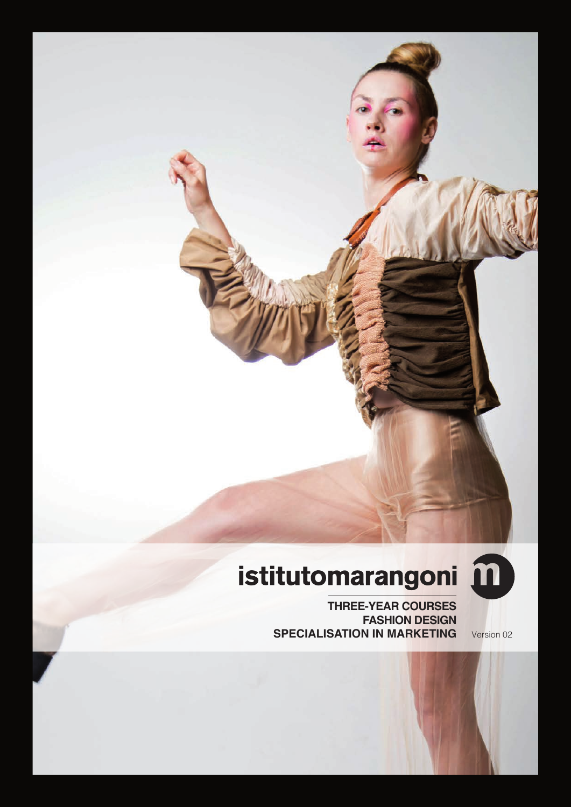# istitutomarangoni m

**THREE-YEAR COURSES FASHION DESIGN SPECIALISATION IN MARKETING** Version 02

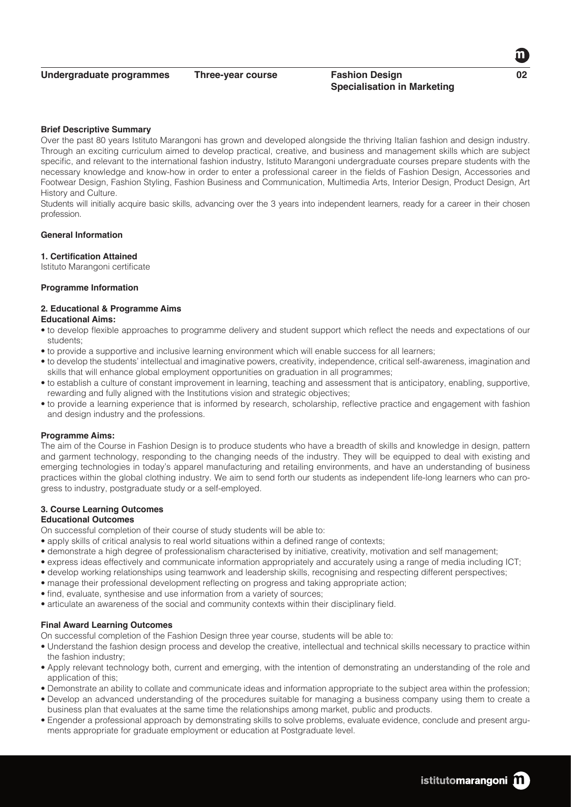# **Specialisation in Marketing**

**02**

## **Brief Descriptive Summary**

Over the past 80 years Istituto Marangoni has grown and developed alongside the thriving Italian fashion and design industry. Through an exciting curriculum aimed to develop practical, creative, and business and management skills which are subject specific, and relevant to the international fashion industry, Istituto Marangoni undergraduate courses prepare students with the necessary knowledge and know-how in order to enter a professional career in the fields of Fashion Design, Accessories and Footwear Design, Fashion Styling, Fashion Business and Communication, Multimedia Arts, Interior Design, Product Design, Art History and Culture.

Students will initially acquire basic skills, advancing over the 3 years into independent learners, ready for a career in their chosen profession.

#### **General Information**

#### **1. Certification Attained**

Istituto Marangoni certificate

#### **Programme Information**

# **2. Educational & Programme Aims**

#### **Educational Aims:**

- to develop flexible approaches to programme delivery and student support which reflect the needs and expectations of our students;
- to provide a supportive and inclusive learning environment which will enable success for all learners;
- to develop the students' intellectual and imaginative powers, creativity, independence, critical self-awareness, imagination and skills that will enhance global employment opportunities on graduation in all programmes;
- to establish a culture of constant improvement in learning, teaching and assessment that is anticipatory, enabling, supportive, rewarding and fully aligned with the Institutions vision and strategic objectives;
- to provide a learning experience that is informed by research, scholarship, reflective practice and engagement with fashion and design industry and the professions.

#### **Programme Aims:**

The aim of the Course in Fashion Design is to produce students who have a breadth of skills and knowledge in design, pattern and garment technology, responding to the changing needs of the industry. They will be equipped to deal with existing and emerging technologies in today's apparel manufacturing and retailing environments, and have an understanding of business practices within the global clothing industry. We aim to send forth our students as independent life-long learners who can progress to industry, postgraduate study or a self-employed.

#### **3. Course Learning Outcomes**

## **Educational Outcomes**

On successful completion of their course of study students will be able to:

- apply skills of critical analysis to real world situations within a defined range of contexts;
- demonstrate a high degree of professionalism characterised by initiative, creativity, motivation and self management;
- express ideas effectively and communicate information appropriately and accurately using a range of media including ICT;
- develop working relationships using teamwork and leadership skills, recognising and respecting different perspectives;
- manage their professional development reflecting on progress and taking appropriate action;
- find, evaluate, synthesise and use information from a variety of sources;
- articulate an awareness of the social and community contexts within their disciplinary field.

#### **Final Award Learning Outcomes**

On successful completion of the Fashion Design three year course, students will be able to:

- Understand the fashion design process and develop the creative, intellectual and technical skills necessary to practice within the fashion industry;
- Apply relevant technology both, current and emerging, with the intention of demonstrating an understanding of the role and application of this;
- Demonstrate an ability to collate and communicate ideas and information appropriate to the subject area within the profession;
- Develop an advanced understanding of the procedures suitable for managing a business company using them to create a business plan that evaluates at the same time the relationships among market, public and products.
- Engender a professional approach by demonstrating skills to solve problems, evaluate evidence, conclude and present arguments appropriate for graduate employment or education at Postgraduate level.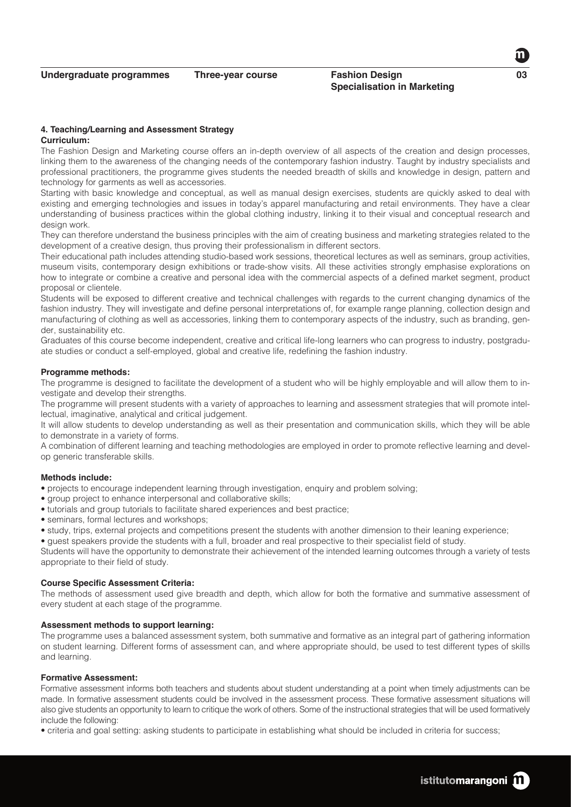# **4. Teaching/Learning and Assessment Strategy**

### **Curriculum:**

The Fashion Design and Marketing course offers an in-depth overview of all aspects of the creation and design processes, linking them to the awareness of the changing needs of the contemporary fashion industry. Taught by industry specialists and professional practitioners, the programme gives students the needed breadth of skills and knowledge in design, pattern and technology for garments as well as accessories.

Starting with basic knowledge and conceptual, as well as manual design exercises, students are quickly asked to deal with existing and emerging technologies and issues in today's apparel manufacturing and retail environments. They have a clear understanding of business practices within the global clothing industry, linking it to their visual and conceptual research and design work.

They can therefore understand the business principles with the aim of creating business and marketing strategies related to the development of a creative design, thus proving their professionalism in different sectors.

Their educational path includes attending studio-based work sessions, theoretical lectures as well as seminars, group activities, museum visits, contemporary design exhibitions or trade-show visits. All these activities strongly emphasise explorations on how to integrate or combine a creative and personal idea with the commercial aspects of a defined market segment, product proposal or clientele.

Students will be exposed to different creative and technical challenges with regards to the current changing dynamics of the fashion industry. They will investigate and define personal interpretations of, for example range planning, collection design and manufacturing of clothing as well as accessories, linking them to contemporary aspects of the industry, such as branding, gender, sustainability etc.

Graduates of this course become independent, creative and critical life-long learners who can progress to industry, postgraduate studies or conduct a self-employed, global and creative life, redefining the fashion industry.

#### **Programme methods:**

The programme is designed to facilitate the development of a student who will be highly employable and will allow them to investigate and develop their strengths.

The programme will present students with a variety of approaches to learning and assessment strategies that will promote intellectual, imaginative, analytical and critical judgement.

It will allow students to develop understanding as well as their presentation and communication skills, which they will be able to demonstrate in a variety of forms.

A combination of different learning and teaching methodologies are employed in order to promote reflective learning and develop generic transferable skills.

#### **Methods include:**

- projects to encourage independent learning through investigation, enquiry and problem solving;
- group project to enhance interpersonal and collaborative skills;
- tutorials and group tutorials to facilitate shared experiences and best practice;
- seminars, formal lectures and workshops;
- study, trips, external projects and competitions present the students with another dimension to their leaning experience;
- guest speakers provide the students with a full, broader and real prospective to their specialist field of study.

Students will have the opportunity to demonstrate their achievement of the intended learning outcomes through a variety of tests appropriate to their field of study.

#### **Course Specific Assessment Criteria:**

The methods of assessment used give breadth and depth, which allow for both the formative and summative assessment of every student at each stage of the programme.

#### **Assessment methods to support learning:**

The programme uses a balanced assessment system, both summative and formative as an integral part of gathering information on student learning. Different forms of assessment can, and where appropriate should, be used to test different types of skills and learning.

#### **Formative Assessment:**

Formative assessment informs both teachers and students about student understanding at a point when timely adjustments can be made. In formative assessment students could be involved in the assessment process. These formative assessment situations will also give students an opportunity to learn to critique the work of others. Some of the instructional strategies that will be used formatively include the following:

• criteria and goal setting: asking students to participate in establishing what should be included in criteria for success;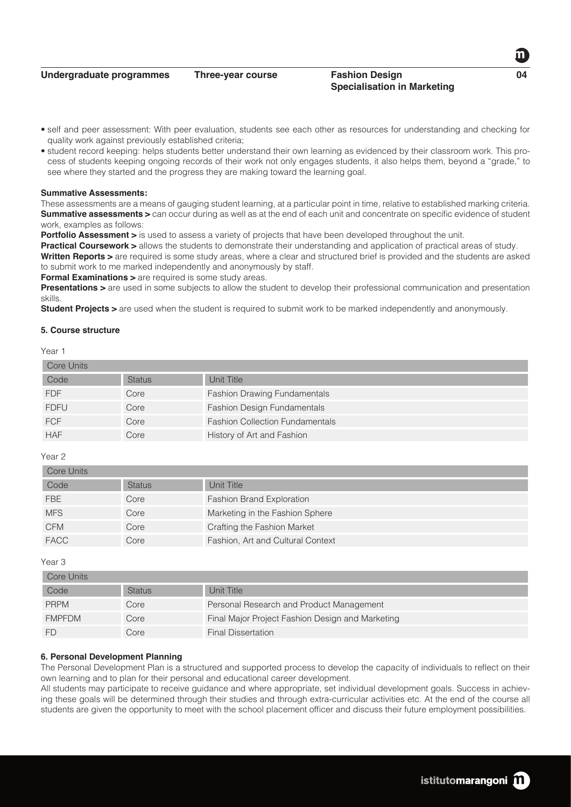| Undergraduate programmes |  |
|--------------------------|--|
|--------------------------|--|

**Three-year course <b>Fashion Design** 

# **Specialisation in Marketing**

**04**

- self and peer assessment: With peer evaluation, students see each other as resources for understanding and checking for quality work against previously established criteria;
- student record keeping: helps students better understand their own learning as evidenced by their classroom work. This process of students keeping ongoing records of their work not only engages students, it also helps them, beyond a "grade," to see where they started and the progress they are making toward the learning goal.

#### **Summative Assessments:**

These assessments are a means of gauging student learning, at a particular point in time, relative to established marking criteria. **Summative assessments >** can occur during as well as at the end of each unit and concentrate on specific evidence of student work, examples as follows:

**Portfolio Assessment >** is used to assess a variety of projects that have been developed throughout the unit.

**Practical Coursework >** allows the students to demonstrate their understanding and application of practical areas of study. **Written Reports >** are required is some study areas, where a clear and structured brief is provided and the students are asked to submit work to me marked independently and anonymously by staff.

**Formal Examinations > are required is some study areas.** 

**Presentations >** are used in some subjects to allow the student to develop their professional communication and presentation skills.

**Student Projects >** are used when the student is required to submit work to be marked independently and anonymously.

#### **5. Course structure**

Year 1

| Core Units  |               |                                        |  |  |
|-------------|---------------|----------------------------------------|--|--|
| Code        | <b>Status</b> | Unit Title                             |  |  |
| FDF         | Core          | <b>Fashion Drawing Fundamentals</b>    |  |  |
| <b>FDFU</b> | Core          | <b>Fashion Design Fundamentals</b>     |  |  |
| <b>FCF</b>  | Core          | <b>Fashion Collection Fundamentals</b> |  |  |
| <b>HAF</b>  | Core          | History of Art and Fashion             |  |  |

#### Year 2

| Core Units |             |               |                                   |  |
|------------|-------------|---------------|-----------------------------------|--|
|            | Code        | <b>Status</b> | Unit Title                        |  |
|            | <b>FBE</b>  | Core          | Fashion Brand Exploration         |  |
|            | <b>MFS</b>  | Core          | Marketing in the Fashion Sphere   |  |
|            | <b>CFM</b>  | Core          | Crafting the Fashion Market       |  |
|            | <b>FACC</b> | Core          | Fashion, Art and Cultural Context |  |

Year 3

| Core Units    |               |                                                  |  |  |
|---------------|---------------|--------------------------------------------------|--|--|
| Code          | <b>Status</b> | Unit Title                                       |  |  |
| <b>PRPM</b>   | Core          | Personal Research and Product Management         |  |  |
| <b>FMPFDM</b> | Core          | Final Major Project Fashion Design and Marketing |  |  |
|               | Core          | <b>Final Dissertation</b>                        |  |  |

#### **6. Personal Development Planning**

The Personal Development Plan is a structured and supported process to develop the capacity of individuals to reflect on their own learning and to plan for their personal and educational career development.

All students may participate to receive guidance and where appropriate, set individual development goals. Success in achieving these goals will be determined through their studies and through extra-curricular activities etc. At the end of the course all students are given the opportunity to meet with the school placement officer and discuss their future employment possibilities.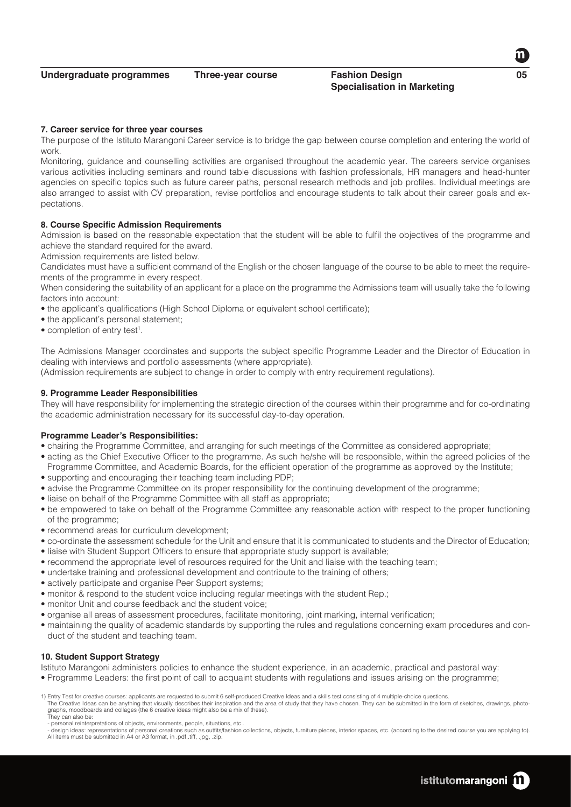# **Specialisation in Marketing**

## **7. Career service for three year courses**

The purpose of the Istituto Marangoni Career service is to bridge the gap between course completion and entering the world of work.

Monitoring, guidance and counselling activities are organised throughout the academic year. The careers service organises various activities including seminars and round table discussions with fashion professionals, HR managers and head-hunter agencies on specific topics such as future career paths, personal research methods and job profiles. Individual meetings are also arranged to assist with CV preparation, revise portfolios and encourage students to talk about their career goals and expectations.

#### **8. Course Specific Admission Requirements**

Admission is based on the reasonable expectation that the student will be able to fulfil the objectives of the programme and achieve the standard required for the award.

Admission requirements are listed below.

Candidates must have a sufficient command of the English or the chosen language of the course to be able to meet the requirements of the programme in every respect.

When considering the suitability of an applicant for a place on the programme the Admissions team will usually take the following factors into account:

- the applicant's qualifications (High School Diploma or equivalent school certificate);
- the applicant's personal statement;
- completion of entry test<sup>1</sup>.

The Admissions Manager coordinates and supports the subject specific Programme Leader and the Director of Education in dealing with interviews and portfolio assessments (where appropriate).

(Admission requirements are subject to change in order to comply with entry requirement regulations).

#### **9. Programme Leader Responsibilities**

They will have responsibility for implementing the strategic direction of the courses within their programme and for co-ordinating the academic administration necessary for its successful day-to-day operation.

#### **Programme Leader's Responsibilities:**

- chairing the Programme Committee, and arranging for such meetings of the Committee as considered appropriate;
- acting as the Chief Executive Officer to the programme. As such he/she will be responsible, within the agreed policies of the Programme Committee, and Academic Boards, for the efficient operation of the programme as approved by the Institute;
- supporting and encouraging their teaching team including PDP;
- advise the Programme Committee on its proper responsibility for the continuing development of the programme;
- liaise on behalf of the Programme Committee with all staff as appropriate;
- be empowered to take on behalf of the Programme Committee any reasonable action with respect to the proper functioning of the programme;
- recommend areas for curriculum development;
- co-ordinate the assessment schedule for the Unit and ensure that it is communicated to students and the Director of Education;
- liaise with Student Support Officers to ensure that appropriate study support is available;
- recommend the appropriate level of resources required for the Unit and liaise with the teaching team;
- undertake training and professional development and contribute to the training of others;
- actively participate and organise Peer Support systems;
- monitor & respond to the student voice including regular meetings with the student Rep.;
- monitor Unit and course feedback and the student voice;
- organise all areas of assessment procedures, facilitate monitoring, joint marking, internal verification;
- maintaining the quality of academic standards by supporting the rules and regulations concerning exam procedures and conduct of the student and teaching team.

#### **10. Student Support Strategy**

- Istituto Marangoni administers policies to enhance the student experience, in an academic, practical and pastoral way:
- Programme Leaders: the first point of call to acquaint students with regulations and issues arising on the programme;

- personal reinterpretations of objects, environments, people, situations, etc..

<sup>1)</sup> Entry Test for creative courses: applicants are requested to submit 6 self-produced Creative Ideas and a skills test consisting of 4 multiple-choice questions. The Creative Ideas can be anything that visually describes their inspiration and the area of study that they have chosen. They can be submitted in the form of sketches, drawings, photo-<br>graphs, moodboards and collages (the

personal momentum of personal creations such as outflis/fashion collections, objects, furniture pieces, interior spaces, etc. (according to the desired course you are applying to). All items must be submitted in A4 or A3 format, in .pdf,.tiff, .jpg, .zip.